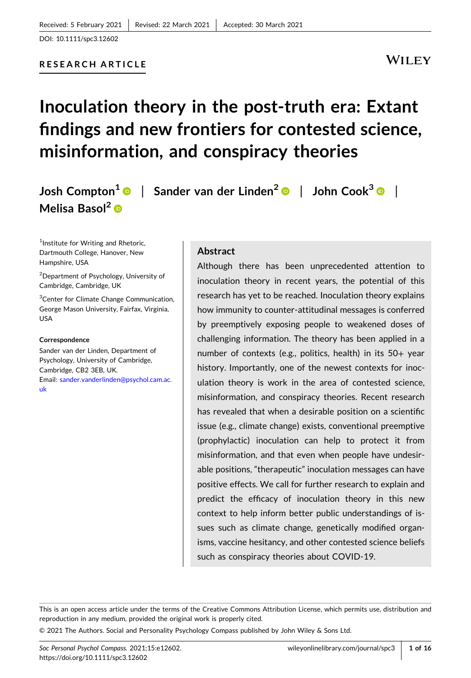### **RESEARCH ARTICLE**

# WILEY

# **Inoculation theory in the post‐truth era: Extant findings and new frontiers for contested science, misinformation, and conspiracy theories**

**Josh Compton1** | **Sander van der Linden2** | **John Cook3** | **Melisa Basol2**

<sup>1</sup>Institute for Writing and Rhetoric, Dartmouth College, Hanover, New Hampshire, USA

2 Department of Psychology, University of Cambridge, Cambridge, UK

<sup>3</sup>Center for Climate Change Communication, George Mason University, Fairfax, Virginia, USA

#### **Correspondence**

Sander van der Linden, Department of Psychology, University of Cambridge, Cambridge, CB2 3EB, UK. Email: [sander.vanderlinden@psychol.cam.ac.](mailto:sander.vanderlinden@psychol.cam.ac.uk) [uk](mailto:sander.vanderlinden@psychol.cam.ac.uk)

### **Abstract**

Although there has been unprecedented attention to inoculation theory in recent years, the potential of this research has yet to be reached. Inoculation theory explains how immunity to counter‐attitudinal messages is conferred by preemptively exposing people to weakened doses of challenging information. The theory has been applied in a number of contexts (e.g., politics, health) in its 50+ year history. Importantly, one of the newest contexts for inoculation theory is work in the area of contested science, misinformation, and conspiracy theories. Recent research has revealed that when a desirable position on a scientific issue (e.g., climate change) exists, conventional preemptive (prophylactic) inoculation can help to protect it from misinformation, and that even when people have undesirable positions, "therapeutic" inoculation messages can have positive effects. We call for further research to explain and predict the efficacy of inoculation theory in this new context to help inform better public understandings of issues such as climate change, genetically modified organisms, vaccine hesitancy, and other contested science beliefs such as conspiracy theories about COVID‐19.

This is an open access article under the terms of the Creative Commons Attribution License, which permits use, distribution and reproduction in any medium, provided the original work is properly cited.

© 2021 The Authors. Social and Personality Psychology Compass published by John Wiley & Sons Ltd.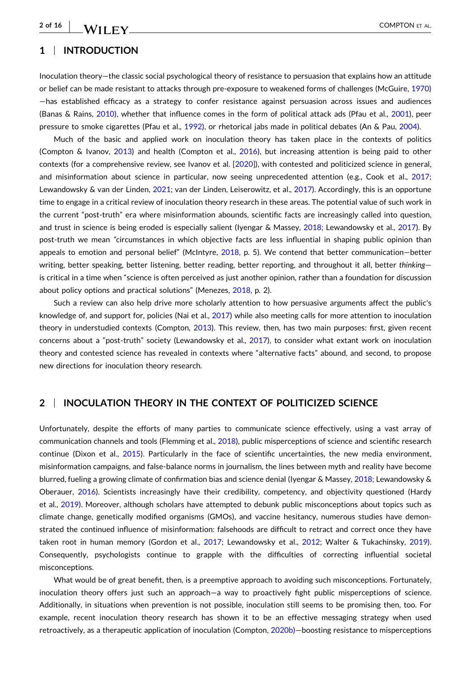### **1** <sup>|</sup> **INTRODUCTION**

Inoculation theory—the classic social psychological theory of resistance to persuasion that explains how an attitude or belief can be made resistant to attacks through pre‐exposure to weakened forms of challenges (McGuire, [1970\)](#page-12-0) —has established efficacy as a strategy to confer resistance against persuasion across issues and audiences (Banas & Rains, [2010\)](#page-10-0), whether that influence comes in the form of political attack ads (Pfau et al., [2001](#page-13-0)), peer pressure to smoke cigarettes (Pfau et al., [1992](#page-13-0)), or rhetorical jabs made in political debates (An & Pau, [2004](#page-10-0)).

Much of the basic and applied work on inoculation theory has taken place in the contexts of politics (Compton & Ivanov, [2013\)](#page-10-0) and health (Compton et al., [2016\)](#page-10-0), but increasing attention is being paid to other contexts (for a comprehensive review, see Ivanov et al. [[2020](#page-11-0)]), with contested and politicized science in general, and misinformation about science in particular, now seeing unprecedented attention (e.g., Cook et al., [2017](#page-11-0); Lewandowsky & van der Linden, [2021;](#page-12-0) van der Linden, Leiserowitz, et al., [2017](#page-13-0)). Accordingly, this is an opportune time to engage in a critical review of inoculation theory research in these areas. The potential value of such work in the current "post‐truth" era where misinformation abounds, scientific facts are increasingly called into question, and trust in science is being eroded is especially salient (Iyengar & Massey, [2018;](#page-12-0) Lewandowsky et al., [2017](#page-12-0)). By post-truth we mean "circumstances in which objective facts are less influential in shaping public opinion than appeals to emotion and personal belief" (McIntyre, [2018](#page-12-0), p. 5). We contend that better communication—better writing, better speaking, better listening, better reading, better reporting, and throughout it all, better *thinking* is critical in a time when "science is often perceived as just another opinion, rather than a foundation for discussion about policy options and practical solutions" (Menezes, [2018,](#page-12-0) p. 2).

Such a review can also help drive more scholarly attention to how persuasive arguments affect the public's knowledge of, and support for, policies (Nai et al., [2017\)](#page-12-0) while also meeting calls for more attention to inoculation theory in understudied contexts (Compton, [2013\)](#page-10-0). This review, then, has two main purposes: first, given recent concerns about a "post‐truth" society (Lewandowsky et al., [2017](#page-12-0)), to consider what extant work on inoculation theory and contested science has revealed in contexts where "alternative facts" abound, and second, to propose new directions for inoculation theory research.

### **2** <sup>|</sup> **INOCULATION THEORY IN THE CONTEXT OF POLITICIZED SCIENCE**

Unfortunately, despite the efforts of many parties to communicate science effectively, using a vast array of communication channels and tools (Flemming et al., [2018\)](#page-11-0), public misperceptions of science and scientific research continue (Dixon et al., [2015\)](#page-11-0). Particularly in the face of scientific uncertainties, the new media environment, misinformation campaigns, and false‐balance norms in journalism, the lines between myth and reality have become blurred, fueling a growing climate of confirmation bias and science denial (Iyengar & Massey, [2018](#page-12-0); Lewandowsky & Oberauer, [2016\)](#page-12-0). Scientists increasingly have their credibility, competency, and objectivity questioned (Hardy et al., [2019](#page-11-0)). Moreover, although scholars have attempted to debunk public misconceptions about topics such as climate change, genetically modified organisms (GMOs), and vaccine hesitancy, numerous studies have demonstrated the continued influence of misinformation: falsehoods are difficult to retract and correct once they have taken root in human memory (Gordon et al., [2017](#page-11-0); Lewandowsky et al., [2012](#page-12-0); Walter & Tukachinsky, [2019](#page-14-0)). Consequently, psychologists continue to grapple with the difficulties of correcting influential societal misconceptions.

What would be of great benefit, then, is a preemptive approach to avoiding such misconceptions. Fortunately, inoculation theory offers just such an approach—a way to proactively fight public misperceptions of science. Additionally, in situations when prevention is not possible, inoculation still seems to be promising then, too. For example, recent inoculation theory research has shown it to be an effective messaging strategy when used retroactively, as a therapeutic application of inoculation (Compton, [2020b\)](#page-10-0)—boosting resistance to misperceptions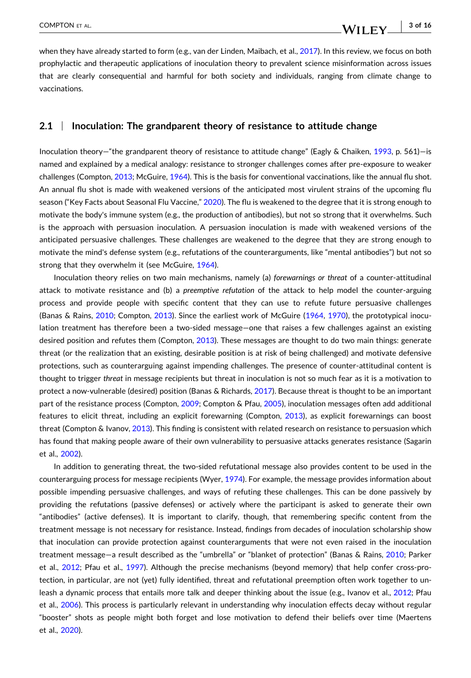when they have already started to form (e.g., van der Linden, Maibach, et al., [2017](#page-13-0)). In this review, we focus on both prophylactic and therapeutic applications of inoculation theory to prevalent science misinformation across issues that are clearly consequential and harmful for both society and individuals, ranging from climate change to vaccinations.

### **2.1** <sup>|</sup> **Inoculation: The grandparent theory of resistance to attitude change**

Inoculation theory—"the grandparent theory of resistance to attitude change" (Eagly & Chaiken, [1993](#page-11-0), p. 561)—is named and explained by a medical analogy: resistance to stronger challenges comes after pre‐exposure to weaker challenges (Compton, [2013](#page-10-0); McGuire, [1964](#page-12-0)). This is the basis for conventional vaccinations, like the annual flu shot. An annual flu shot is made with weakened versions of the anticipated most virulent strains of the upcoming flu season ("Key Facts about Seasonal Flu Vaccine," [2020](#page-12-0)). The flu is weakened to the degree that it is strong enough to motivate the body's immune system (e.g., the production of antibodies), but not so strong that it overwhelms. Such is the approach with persuasion inoculation. A persuasion inoculation is made with weakened versions of the anticipated persuasive challenges. These challenges are weakened to the degree that they are strong enough to motivate the mind's defense system (e.g., refutations of the counterarguments, like "mental antibodies") but not so strong that they overwhelm it (see McGuire, [1964\)](#page-12-0).

Inoculation theory relies on two main mechanisms, namely (a) *forewarnings or threat* of a counter‐attitudinal attack to motivate resistance and (b) a *preemptive refutation* of the attack to help model the counter‐arguing process and provide people with specific content that they can use to refute future persuasive challenges (Banas & Rains, [2010;](#page-10-0) Compton, [2013](#page-10-0)). Since the earliest work of McGuire ([1964](#page-12-0), [1970\)](#page-12-0), the prototypical inoculation treatment has therefore been a two-sided message—one that raises a few challenges against an existing desired position and refutes them (Compton, [2013\)](#page-10-0). These messages are thought to do two main things: generate threat (or the realization that an existing, desirable position is at risk of being challenged) and motivate defensive protections, such as counterarguing against impending challenges. The presence of counter‐attitudinal content is thought to trigger *threat* in message recipients but threat in inoculation is not so much fear as it is a motivation to protect a now-vulnerable (desired) position (Banas & Richards, [2017](#page-10-0)). Because threat is thought to be an important part of the resistance process (Compton, [2009;](#page-10-0) Compton & Pfau, [2005](#page-11-0)), inoculation messages often add additional features to elicit threat, including an explicit forewarning (Compton, [2013\)](#page-10-0), as explicit forewarnings can boost threat (Compton & Ivanov, [2013\)](#page-10-0). This finding is consistent with related research on resistance to persuasion which has found that making people aware of their own vulnerability to persuasive attacks generates resistance (Sagarin et al., [2002\)](#page-13-0).

In addition to generating threat, the two-sided refutational message also provides content to be used in the counterarguing process for message recipients (Wyer, [1974\)](#page-14-0). For example, the message provides information about possible impending persuasive challenges, and ways of refuting these challenges. This can be done passively by providing the refutations (passive defenses) or actively where the participant is asked to generate their own "antibodies" (active defenses). It is important to clarify, though, that remembering specific content from the treatment message is not necessary for resistance. Instead, findings from decades of inoculation scholarship show that inoculation can provide protection against counterarguments that were not even raised in the inoculation treatment message—a result described as the "umbrella" or "blanket of protection" (Banas & Rains, [2010;](#page-10-0) Parker et al., [2012](#page-13-0); Pfau et al., [1997](#page-13-0)). Although the precise mechanisms (beyond memory) that help confer cross‐protection, in particular, are not (yet) fully identified, threat and refutational preemption often work together to unleash a dynamic process that entails more talk and deeper thinking about the issue (e.g., Ivanov et al., [2012;](#page-11-0) Pfau et al., [2006](#page-13-0)). This process is particularly relevant in understanding why inoculation effects decay without regular "booster" shots as people might both forget and lose motivation to defend their beliefs over time (Maertens et al., [2020\)](#page-12-0).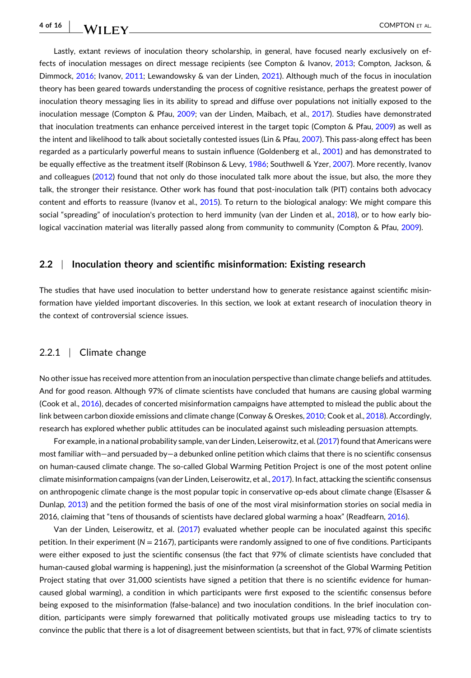Lastly, extant reviews of inoculation theory scholarship, in general, have focused nearly exclusively on effects of inoculation messages on direct message recipients (see Compton & Ivanov, [2013;](#page-10-0) Compton, Jackson, & Dimmock, [2016;](#page-10-0) Ivanov, [2011](#page-11-0); Lewandowsky & van der Linden, [2021](#page-12-0)). Although much of the focus in inoculation theory has been geared towards understanding the process of cognitive resistance, perhaps the greatest power of inoculation theory messaging lies in its ability to spread and diffuse over populations not initially exposed to the inoculation message (Compton & Pfau, [2009;](#page-11-0) van der Linden, Maibach, et al., [2017\)](#page-13-0). Studies have demonstrated that inoculation treatments can enhance perceived interest in the target topic (Compton & Pfau, [2009](#page-11-0)) as well as the intent and likelihood to talk about societally contested issues (Lin & Pfau, [2007](#page-12-0)). This pass-along effect has been regarded as a particularly powerful means to sustain influence (Goldenberg et al., [2001\)](#page-11-0) and has demonstrated to be equally effective as the treatment itself (Robinson & Levy, [1986](#page-13-0); Southwell & Yzer, [2007\)](#page-13-0). More recently, Ivanov and colleagues ([2012](#page-11-0)) found that not only do those inoculated talk more about the issue, but also, the more they talk, the stronger their resistance. Other work has found that post‐inoculation talk (PIT) contains both advocacy content and efforts to reassure (Ivanov et al., [2015](#page-12-0)). To return to the biological analogy: We might compare this social "spreading" of inoculation's protection to herd immunity (van der Linden et al., [2018](#page-13-0)), or to how early biological vaccination material was literally passed along from community to community (Compton & Pfau, [2009\)](#page-11-0).

### **2.2** <sup>|</sup> **Inoculation theory and scientific misinformation: Existing research**

The studies that have used inoculation to better understand how to generate resistance against scientific misinformation have yielded important discoveries. In this section, we look at extant research of inoculation theory in the context of controversial science issues.

### 2.2.1 <sup>|</sup> Climate change

No other issue has received more attention from an inoculation perspective than climate change beliefs and attitudes. And for good reason. Although 97% of climate scientists have concluded that humans are causing global warming (Cook et al., [2016](#page-11-0)), decades of concerted misinformation campaigns have attempted to mislead the public about the link between carbon dioxide emissions and climate change (Conway & Oreskes, [2010;](#page-13-0) Cook et al., [2018](#page-11-0)). Accordingly, research has explored whether public attitudes can be inoculated against such misleading persuasion attempts.

For example, in a national probability sample, van der Linden, Leiserowitz, et al. [\(2017\)](#page-13-0) found that Americans were most familiar with—and persuaded by—a debunked online petition which claims that there is no scientific consensus on human‐caused climate change. The so‐called Global Warming Petition Project is one of the most potent online climate misinformation campaigns (van der Linden, Leiserowitz, et al., [2017](#page-13-0)). In fact, attacking the scientific consensus on anthropogenic climate change is the most popular topic in conservative op‐eds about climate change (Elsasser & Dunlap, [2013](#page-11-0)) and the petition formed the basis of one of the most viral misinformation stories on social media in 2016, claiming that "tens of thousands of scientists have declared global warming a hoax" (Readfearn, [2016](#page-13-0)).

Van der Linden, Leiserowitz, et al. [\(2017\)](#page-13-0) evaluated whether people can be inoculated against this specific petition. In their experiment (*N* = 2167), participants were randomly assigned to one of five conditions. Participants were either exposed to just the scientific consensus (the fact that 97% of climate scientists have concluded that human-caused global warming is happening), just the misinformation (a screenshot of the Global Warming Petition Project stating that over 31,000 scientists have signed a petition that there is no scientific evidence for human‐ caused global warming), a condition in which participants were first exposed to the scientific consensus before being exposed to the misinformation (false-balance) and two inoculation conditions. In the brief inoculation condition, participants were simply forewarned that politically motivated groups use misleading tactics to try to convince the public that there is a lot of disagreement between scientists, but that in fact, 97% of climate scientists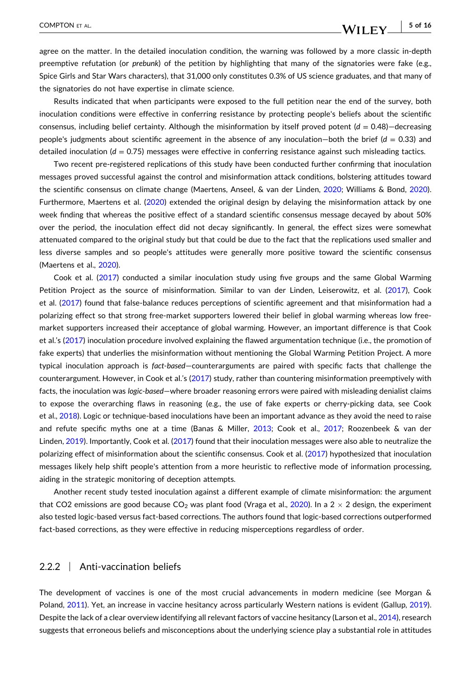agree on the matter. In the detailed inoculation condition, the warning was followed by a more classic in‐depth preemptive refutation (or *prebunk*) of the petition by highlighting that many of the signatories were fake (e.g., Spice Girls and Star Wars characters), that 31,000 only constitutes 0.3% of US science graduates, and that many of the signatories do not have expertise in climate science.

Results indicated that when participants were exposed to the full petition near the end of the survey, both inoculation conditions were effective in conferring resistance by protecting people's beliefs about the scientific consensus, including belief certainty. Although the misinformation by itself proved potent (*d* = 0.48)—decreasing people's judgments about scientific agreement in the absence of any inoculation—both the brief (*d* = 0.33) and detailed inoculation  $(d = 0.75)$  messages were effective in conferring resistance against such misleading tactics.

Two recent pre‐registered replications of this study have been conducted further confirming that inoculation messages proved successful against the control and misinformation attack conditions, bolstering attitudes toward the scientific consensus on climate change (Maertens, Anseel, & van der Linden, [2020;](#page-12-0) Williams & Bond, [2020](#page-14-0)). Furthermore, Maertens et al. ([2020](#page-12-0)) extended the original design by delaying the misinformation attack by one week finding that whereas the positive effect of a standard scientific consensus message decayed by about 50% over the period, the inoculation effect did not decay significantly. In general, the effect sizes were somewhat attenuated compared to the original study but that could be due to the fact that the replications used smaller and less diverse samples and so people's attitudes were generally more positive toward the scientific consensus (Maertens et al., [2020\)](#page-12-0).

Cook et al. ([2017](#page-11-0)) conducted a similar inoculation study using five groups and the same Global Warming Petition Project as the source of misinformation. Similar to van der Linden, Leiserowitz, et al. [\(2017\)](#page-13-0), Cook et al. [\(2017\)](#page-11-0) found that false-balance reduces perceptions of scientific agreement and that misinformation had a polarizing effect so that strong free‐market supporters lowered their belief in global warming whereas low free‐ market supporters increased their acceptance of global warming. However, an important difference is that Cook et al.'s [\(2017\)](#page-11-0) inoculation procedure involved explaining the flawed argumentation technique (i.e., the promotion of fake experts) that underlies the misinformation without mentioning the Global Warming Petition Project. A more typical inoculation approach is *fact‐based*—counterarguments are paired with specific facts that challenge the counterargument. However, in Cook et al.'s [\(2017](#page-11-0)) study, rather than countering misinformation preemptively with facts, the inoculation was *logic-based—where broader reasoning errors* were paired with misleading denialist claims to expose the overarching flaws in reasoning (e.g., the use of fake experts or cherry‐picking data, see Cook et al., [2018\)](#page-11-0). Logic or technique-based inoculations have been an important advance as they avoid the need to raise and refute specific myths one at a time (Banas & Miller, [2013](#page-10-0); Cook et al., [2017;](#page-11-0) Roozenbeek & van der Linden, [2019](#page-13-0)). Importantly, Cook et al. ([2017\)](#page-11-0) found that their inoculation messages were also able to neutralize the polarizing effect of misinformation about the scientific consensus. Cook et al. ([2017](#page-11-0)) hypothesized that inoculation messages likely help shift people's attention from a more heuristic to reflective mode of information processing, aiding in the strategic monitoring of deception attempts.

Another recent study tested inoculation against a different example of climate misinformation: the argument that CO2 emissions are good because CO<sub>2</sub> was plant food (Vraga et al., [2020](#page-14-0)). In a 2  $\times$  2 design, the experiment also tested logic‐based versus fact‐based corrections. The authors found that logic‐based corrections outperformed fact-based corrections, as they were effective in reducing misperceptions regardless of order.

### 2.2.2 | Anti-vaccination beliefs

The development of vaccines is one of the most crucial advancements in modern medicine (see Morgan & Poland, [2011](#page-12-0)). Yet, an increase in vaccine hesitancy across particularly Western nations is evident (Gallup, [2019](#page-11-0)). Despite the lack of a clear overview identifying all relevant factors of vaccine hesitancy (Larson et al., [2014](#page-12-0)), research suggests that erroneous beliefs and misconceptions about the underlying science play a substantial role in attitudes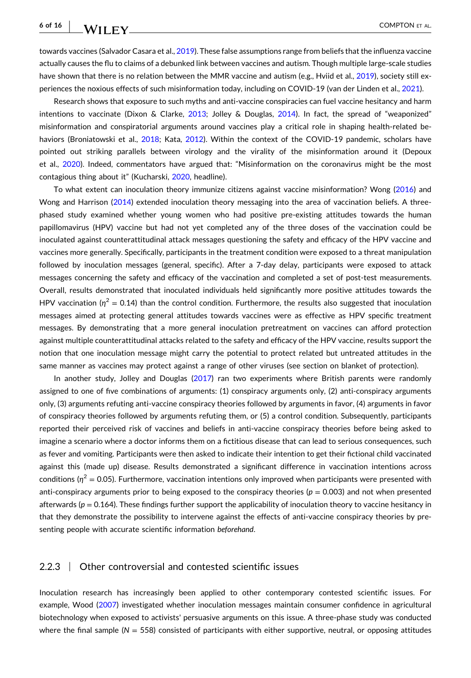$\mathbf{WII}$  , experiment that the compton et al.

towards vaccines (Salvador Casara et al., [2019](#page-13-0)). These false assumptions range from beliefs that the influenza vaccine actually causes the flu to claims of a debunked link between vaccines and autism. Though multiple large-scale studies have shown that there is no relation between the MMR vaccine and autism (e.g., Hviid et al., [2019](#page-11-0)), society still ex-periences the noxious effects of such misinformation today, including on COVID-19 (van der Linden et al., [2021](#page-13-0)).

Research shows that exposure to such myths and anti‐vaccine conspiracies can fuel vaccine hesitancy and harm intentions to vaccinate (Dixon & Clarke, [2013](#page-11-0); Jolley & Douglas, [2014](#page-12-0)). In fact, the spread of "weaponized" misinformation and conspiratorial arguments around vaccines play a critical role in shaping health‐related be-haviors (Broniatowski et al., [2018;](#page-10-0) Kata, [2012](#page-12-0)). Within the context of the COVID-19 pandemic, scholars have pointed out striking parallels between virology and the virality of the misinformation around it (Depoux et al., [2020\)](#page-11-0). Indeed, commentators have argued that: "Misinformation on the coronavirus might be the most contagious thing about it" (Kucharski, [2020](#page-12-0), headline).

To what extent can inoculation theory immunize citizens against vaccine misinformation? Wong [\(2016\)](#page-14-0) and Wong and Harrison ([2014](#page-14-0)) extended inoculation theory messaging into the area of vaccination beliefs. A threephased study examined whether young women who had positive pre‐existing attitudes towards the human papillomavirus (HPV) vaccine but had not yet completed any of the three doses of the vaccination could be inoculated against counterattitudinal attack messages questioning the safety and efficacy of the HPV vaccine and vaccines more generally. Specifically, participants in the treatment condition were exposed to a threat manipulation followed by inoculation messages (general, specific). After a 7‐day delay, participants were exposed to attack messages concerning the safety and efficacy of the vaccination and completed a set of post-test measurements. Overall, results demonstrated that inoculated individuals held significantly more positive attitudes towards the HPV vaccination ( $n^2 = 0.14$ ) than the control condition. Furthermore, the results also suggested that inoculation messages aimed at protecting general attitudes towards vaccines were as effective as HPV specific treatment messages. By demonstrating that a more general inoculation pretreatment on vaccines can afford protection against multiple counterattitudinal attacks related to the safety and efficacy of the HPV vaccine, results support the notion that one inoculation message might carry the potential to protect related but untreated attitudes in the same manner as vaccines may protect against a range of other viruses (see section on blanket of protection).

In another study, Jolley and Douglas [\(2017\)](#page-12-0) ran two experiments where British parents were randomly assigned to one of five combinations of arguments: (1) conspiracy arguments only, (2) anti‐conspiracy arguments only, (3) arguments refuting anti‐vaccine conspiracy theories followed by arguments in favor, (4) arguments in favor of conspiracy theories followed by arguments refuting them, or (5) a control condition. Subsequently, participants reported their perceived risk of vaccines and beliefs in anti‐vaccine conspiracy theories before being asked to imagine a scenario where a doctor informs them on a fictitious disease that can lead to serious consequences, such as fever and vomiting. Participants were then asked to indicate their intention to get their fictional child vaccinated against this (made up) disease. Results demonstrated a significant difference in vaccination intentions across conditions ( $\eta^2$  = 0.05). Furthermore, vaccination intentions only improved when participants were presented with anti-conspiracy arguments prior to being exposed to the conspiracy theories ( $p = 0.003$ ) and not when presented afterwards ( $p = 0.164$ ). These findings further support the applicability of inoculation theory to vaccine hesitancy in that they demonstrate the possibility to intervene against the effects of anti‐vaccine conspiracy theories by presenting people with accurate scientific information *beforehand*.

### 2.2.3 <sup>|</sup> Other controversial and contested scientific issues

Inoculation research has increasingly been applied to other contemporary contested scientific issues. For example, Wood [\(2007\)](#page-14-0) investigated whether inoculation messages maintain consumer confidence in agricultural biotechnology when exposed to activists' persuasive arguments on this issue. A three-phase study was conducted where the final sample (*N* = 558) consisted of participants with either supportive, neutral, or opposing attitudes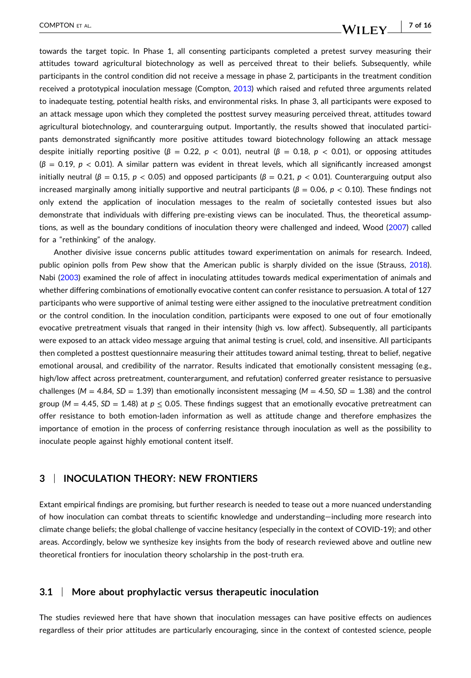#### - **7 of 16**WILEY

towards the target topic. In Phase 1, all consenting participants completed a pretest survey measuring their attitudes toward agricultural biotechnology as well as perceived threat to their beliefs. Subsequently, while participants in the control condition did not receive a message in phase 2, participants in the treatment condition received a prototypical inoculation message (Compton, [2013\)](#page-10-0) which raised and refuted three arguments related to inadequate testing, potential health risks, and environmental risks. In phase 3, all participants were exposed to an attack message upon which they completed the posttest survey measuring perceived threat, attitudes toward agricultural biotechnology, and counterarguing output. Importantly, the results showed that inoculated participants demonstrated significantly more positive attitudes toward biotechnology following an attack message despite initially reporting positive ( $\beta = 0.22$ ,  $p < 0.01$ ), neutral ( $\beta = 0.18$ ,  $p < 0.01$ ), or opposing attitudes (*β* = 0.19, *p* < 0.01). A similar pattern was evident in threat levels, which all significantly increased amongst initially neutral ( $β = 0.15$ ,  $p < 0.05$ ) and opposed participants ( $β = 0.21$ ,  $p < 0.01$ ). Counterarguing output also increased marginally among initially supportive and neutral participants ( $β = 0.06$ ,  $p < 0.10$ ). These findings not only extend the application of inoculation messages to the realm of societally contested issues but also demonstrate that individuals with differing pre‐existing views can be inoculated. Thus, the theoretical assumptions, as well as the boundary conditions of inoculation theory were challenged and indeed, Wood ([2007\)](#page-14-0) called for a "rethinking" of the analogy.

Another divisive issue concerns public attitudes toward experimentation on animals for research. Indeed, public opinion polls from Pew show that the American public is sharply divided on the issue (Strauss, [2018](#page-13-0)). Nabi [\(2003\)](#page-12-0) examined the role of affect in inoculating attitudes towards medical experimentation of animals and whether differing combinations of emotionally evocative content can confer resistance to persuasion. A total of 127 participants who were supportive of animal testing were either assigned to the inoculative pretreatment condition or the control condition. In the inoculation condition, participants were exposed to one out of four emotionally evocative pretreatment visuals that ranged in their intensity (high vs. low affect). Subsequently, all participants were exposed to an attack video message arguing that animal testing is cruel, cold, and insensitive. All participants then completed a posttest questionnaire measuring their attitudes toward animal testing, threat to belief, negative emotional arousal, and credibility of the narrator. Results indicated that emotionally consistent messaging (e.g., high/low affect across pretreatment, counterargument, and refutation) conferred greater resistance to persuasive challenges ( $M = 4.84$ ,  $SD = 1.39$ ) than emotionally inconsistent messaging ( $M = 4.50$ ,  $SD = 1.38$ ) and the control group ( $M = 4.45$ ,  $SD = 1.48$ ) at  $p < 0.05$ . These findings suggest that an emotionally evocative pretreatment can offer resistance to both emotion‐laden information as well as attitude change and therefore emphasizes the importance of emotion in the process of conferring resistance through inoculation as well as the possibility to inoculate people against highly emotional content itself.

### **3** <sup>|</sup> **INOCULATION THEORY: NEW FRONTIERS**

Extant empirical findings are promising, but further research is needed to tease out a more nuanced understanding of how inoculation can combat threats to scientific knowledge and understanding—including more research into climate change beliefs; the global challenge of vaccine hesitancy (especially in the context of COVID‐19); and other areas. Accordingly, below we synthesize key insights from the body of research reviewed above and outline new theoretical frontiers for inoculation theory scholarship in the post‐truth era.

### **3.1** <sup>|</sup> **More about prophylactic versus therapeutic inoculation**

The studies reviewed here that have shown that inoculation messages can have positive effects on audiences regardless of their prior attitudes are particularly encouraging, since in the context of contested science, people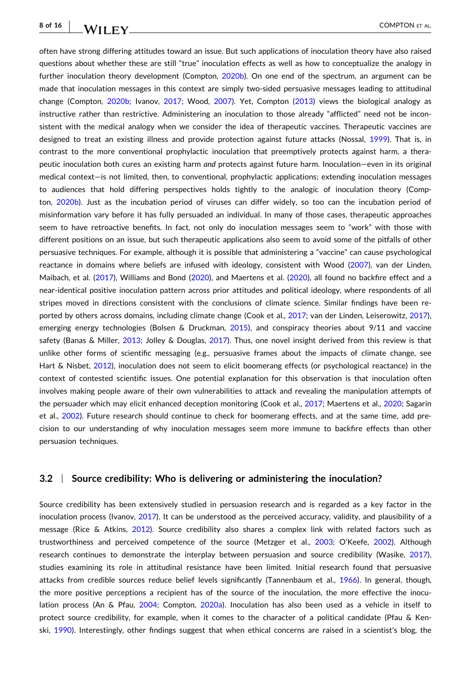# $\mathbf{WII}$  , experiment that  $\mathbf{COMPTON}$  et al.

often have strong differing attitudes toward an issue. But such applications of inoculation theory have also raised questions about whether these are still "true" inoculation effects as well as how to conceptualize the analogy in further inoculation theory development (Compton, [2020b](#page-10-0)). On one end of the spectrum, an argument can be made that inoculation messages in this context are simply two-sided persuasive messages leading to attitudinal change (Compton, [2020b](#page-10-0); Ivanov, [2017;](#page-11-0) Wood, [2007\)](#page-14-0). Yet, Compton ([2013](#page-10-0)) views the biological analogy as instructive rather than restrictive. Administering an inoculation to those already "afflicted" need not be inconsistent with the medical analogy when we consider the idea of therapeutic vaccines. Therapeutic vaccines are designed to treat an existing illness and provide protection against future attacks (Nossal, [1999\)](#page-12-0). That is, in contrast to the more conventional prophylactic inoculation that preemptively protects against harm, a therapeutic inoculation both cures an existing harm *and* protects against future harm. Inoculation—even in its original medical context—is not limited, then, to conventional, prophylactic applications; extending inoculation messages to audiences that hold differing perspectives holds tightly to the analogic of inoculation theory (Compton, [2020b\)](#page-10-0). Just as the incubation period of viruses can differ widely, so too can the incubation period of misinformation vary before it has fully persuaded an individual. In many of those cases, therapeutic approaches seem to have retroactive benefits. In fact, not only do inoculation messages seem to "work" with those with different positions on an issue, but such therapeutic applications also seem to avoid some of the pitfalls of other persuasive techniques. For example, although it is possible that administering a "vaccine" can cause psychological reactance in domains where beliefs are infused with ideology, consistent with Wood ([2007](#page-14-0)), van der Linden, Maibach, et al. [\(2017\)](#page-13-0), Williams and Bond ([2020](#page-14-0)), and Maertens et al. ([2020\)](#page-12-0), all found no backfire effect and a near‐identical positive inoculation pattern across prior attitudes and political ideology, where respondents of all stripes moved in directions consistent with the conclusions of climate science. Similar findings have been re-ported by others across domains, including climate change (Cook et al., [2017](#page-13-0); van der Linden, Leiserowitz, 2017), emerging energy technologies (Bolsen & Druckman, [2015](#page-10-0)), and conspiracy theories about 9/11 and vaccine safety (Banas & Miller, [2013;](#page-10-0) Jolley & Douglas, [2017\)](#page-12-0). Thus, one novel insight derived from this review is that unlike other forms of scientific messaging (e.g., persuasive frames about the impacts of climate change, see Hart & Nisbet, [2012\)](#page-11-0), inoculation does not seem to elicit boomerang effects (or psychological reactance) in the context of contested scientific issues. One potential explanation for this observation is that inoculation often involves making people aware of their own vulnerabilities to attack and revealing the manipulation attempts of the persuader which may elicit enhanced deception monitoring (Cook et al., [2017](#page-11-0); Maertens et al., [2020;](#page-12-0) Sagarin et al., [2002](#page-13-0)). Future research should continue to check for boomerang effects, and at the same time, add precision to our understanding of why inoculation messages seem more immune to backfire effects than other persuasion techniques.

### **3.2** <sup>|</sup> **Source credibility: Who is delivering or administering the inoculation?**

Source credibility has been extensively studied in persuasion research and is regarded as a key factor in the inoculation process (Ivanov, [2017\)](#page-11-0). It can be understood as the perceived accuracy, validity, and plausibility of a message (Rice & Atkins, [2012](#page-10-0)). Source credibility also shares a complex link with related factors such as trustworthiness and perceived competence of the source (Metzger et al., [2003;](#page-12-0) O'Keefe, [2002](#page-12-0)). Although research continues to demonstrate the interplay between persuasion and source credibility (Wasike, [2017](#page-14-0)), studies examining its role in attitudinal resistance have been limited. Initial research found that persuasive attacks from credible sources reduce belief levels significantly (Tannenbaum et al., [1966\)](#page-13-0). In general, though, the more positive perceptions a recipient has of the source of the inoculation, the more effective the inoculation process (An & Pfau, [2004;](#page-10-0) Compton, [2020a\)](#page-10-0). Inoculation has also been used as a vehicle in itself to protect source credibility, for example, when it comes to the character of a political candidate (Pfau & Kenski, [1990\)](#page-13-0). Interestingly, other findings suggest that when ethical concerns are raised in a scientist's blog, the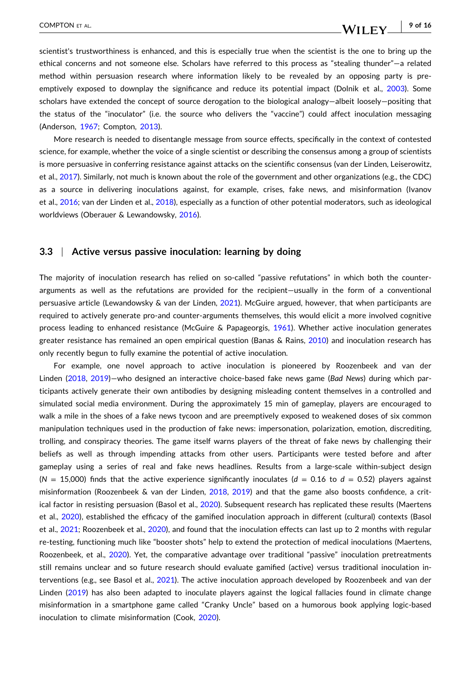scientist's trustworthiness is enhanced, and this is especially true when the scientist is the one to bring up the ethical concerns and not someone else. Scholars have referred to this process as "stealing thunder"—a related method within persuasion research where information likely to be revealed by an opposing party is pre‐ emptively exposed to downplay the significance and reduce its potential impact (Dolnik et al., [2003\)](#page-11-0). Some scholars have extended the concept of source derogation to the biological analogy—albeit loosely—positing that the status of the "inoculator" (i.e. the source who delivers the "vaccine") could affect inoculation messaging (Anderson, [1967;](#page-10-0) Compton, [2013\)](#page-10-0).

More research is needed to disentangle message from source effects, specifically in the context of contested science, for example, whether the voice of a single scientist or describing the consensus among a group of scientists is more persuasive in conferring resistance against attacks on the scientific consensus (van der Linden, Leiserowitz, et al., [2017\)](#page-13-0). Similarly, not much is known about the role of the government and other organizations (e.g., the CDC) as a source in delivering inoculations against, for example, crises, fake news, and misinformation (Ivanov et al., [2016](#page-11-0); van der Linden et al., [2018\)](#page-14-0), especially as a function of other potential moderators, such as ideological worldviews (Oberauer & Lewandowsky, [2016\)](#page-12-0).

### **3.3** <sup>|</sup> **Active versus passive inoculation: learning by doing**

The majority of inoculation research has relied on so-called "passive refutations" in which both the counterarguments as well as the refutations are provided for the recipient—usually in the form of a conventional persuasive article (Lewandowsky & van der Linden, [2021](#page-12-0)). McGuire argued, however, that when participants are required to actively generate pro‐and counter‐arguments themselves, this would elicit a more involved cognitive process leading to enhanced resistance (McGuire & Papageorgis, [1961\)](#page-12-0). Whether active inoculation generates greater resistance has remained an open empirical question (Banas & Rains, [2010\)](#page-10-0) and inoculation research has only recently begun to fully examine the potential of active inoculation.

For example, one novel approach to active inoculation is pioneered by Roozenbeek and van der Linden ([2018](#page-13-0), [2019\)](#page-13-0)—who designed an interactive choice‐based fake news game (*Bad News*) during which participants actively generate their own antibodies by designing misleading content themselves in a controlled and simulated social media environment. During the approximately 15 min of gameplay, players are encouraged to walk a mile in the shoes of a fake news tycoon and are preemptively exposed to weakened doses of six common manipulation techniques used in the production of fake news: impersonation, polarization, emotion, discrediting, trolling, and conspiracy theories. The game itself warns players of the threat of fake news by challenging their beliefs as well as through impending attacks from other users. Participants were tested before and after gameplay using a series of real and fake news headlines. Results from a large‐scale within‐subject design  $(N = 15,000)$  finds that the active experience significantly inoculates  $(d = 0.16$  to  $d = 0.52)$  players against misinformation (Roozenbeek & van der Linden, [2018,](#page-13-0) [2019](#page-13-0)) and that the game also boosts confidence, a critical factor in resisting persuasion (Basol et al., [2020\)](#page-10-0). Subsequent research has replicated these results (Maertens et al., [2020\)](#page-12-0), established the efficacy of the gamified inoculation approach in different (cultural) contexts (Basol et al., [2021;](#page-10-0) Roozenbeek et al., [2020\)](#page-13-0), and found that the inoculation effects can last up to 2 months with regular re-testing, functioning much like "booster shots" help to extend the protection of medical inoculations (Maertens, Roozenbeek, et al., [2020\)](#page-12-0). Yet, the comparative advantage over traditional "passive" inoculation pretreatments still remains unclear and so future research should evaluate gamified (active) versus traditional inoculation interventions (e.g., see Basol et al., [2021\)](#page-10-0). The active inoculation approach developed by Roozenbeek and van der Linden [\(2019](#page-13-0)) has also been adapted to inoculate players against the logical fallacies found in climate change misinformation in a smartphone game called "Cranky Uncle" based on a humorous book applying logic‐based inoculation to climate misinformation (Cook, [2020\)](#page-11-0).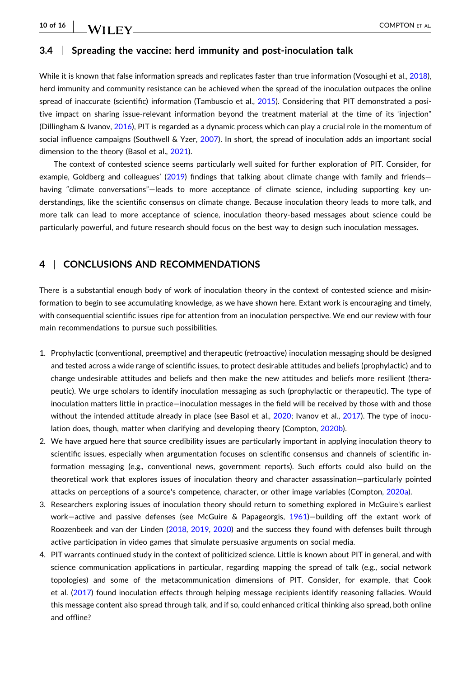### **3.4** <sup>|</sup> **Spreading the vaccine: herd immunity and post‐inoculation talk**

While it is known that false information spreads and replicates faster than true information (Vosoughi et al., [2018](#page-14-0)), herd immunity and community resistance can be achieved when the spread of the inoculation outpaces the online spread of inaccurate (scientific) information (Tambuscio et al., [2015\)](#page-13-0). Considering that PIT demonstrated a positive impact on sharing issue‐relevant information beyond the treatment material at the time of its 'injection" (Dillingham & Ivanov, [2016\)](#page-11-0), PIT is regarded as a dynamic process which can play a crucial role in the momentum of social influence campaigns (Southwell & Yzer, [2007\)](#page-13-0). In short, the spread of inoculation adds an important social dimension to the theory (Basol et al., [2021\)](#page-10-0).

The context of contested science seems particularly well suited for further exploration of PIT. Consider, for example, Goldberg and colleagues' ([2019](#page-11-0)) findings that talking about climate change with family and friends having "climate conversations"—leads to more acceptance of climate science, including supporting key understandings, like the scientific consensus on climate change. Because inoculation theory leads to more talk, and more talk can lead to more acceptance of science, inoculation theory‐based messages about science could be particularly powerful, and future research should focus on the best way to design such inoculation messages.

### **4** <sup>|</sup> **CONCLUSIONS AND RECOMMENDATIONS**

There is a substantial enough body of work of inoculation theory in the context of contested science and misinformation to begin to see accumulating knowledge, as we have shown here. Extant work is encouraging and timely, with consequential scientific issues ripe for attention from an inoculation perspective. We end our review with four main recommendations to pursue such possibilities.

- 1. Prophylactic (conventional, preemptive) and therapeutic (retroactive) inoculation messaging should be designed and tested across a wide range of scientific issues, to protect desirable attitudes and beliefs (prophylactic) and to change undesirable attitudes and beliefs and then make the new attitudes and beliefs more resilient (therapeutic). We urge scholars to identify inoculation messaging as such (prophylactic or therapeutic). The type of inoculation matters little in practice—inoculation messages in the field will be received by those with and those without the intended attitude already in place (see Basol et al., [2020;](#page-10-0) Ivanov et al., [2017](#page-12-0)). The type of inoculation does, though, matter when clarifying and developing theory (Compton, [2020b\)](#page-10-0).
- 2. We have argued here that source credibility issues are particularly important in applying inoculation theory to scientific issues, especially when argumentation focuses on scientific consensus and channels of scientific information messaging (e.g., conventional news, government reports). Such efforts could also build on the theoretical work that explores issues of inoculation theory and character assassination—particularly pointed attacks on perceptions of a source's competence, character, or other image variables (Compton, [2020a](#page-10-0)).
- 3. Researchers exploring issues of inoculation theory should return to something explored in McGuire's earliest work—active and passive defenses (see McGuire & Papageorgis, [1961](#page-12-0))—building off the extant work of Roozenbeek and van der Linden [\(2018,](#page-13-0) [2019](#page-13-0), [2020](#page-13-0)) and the success they found with defenses built through active participation in video games that simulate persuasive arguments on social media.
- 4. PIT warrants continued study in the context of politicized science. Little is known about PIT in general, and with science communication applications in particular, regarding mapping the spread of talk (e.g., social network topologies) and some of the metacommunication dimensions of PIT. Consider, for example, that Cook et al. [\(2017\)](#page-11-0) found inoculation effects through helping message recipients identify reasoning fallacies. Would this message content also spread through talk, and if so, could enhanced critical thinking also spread, both online and offline?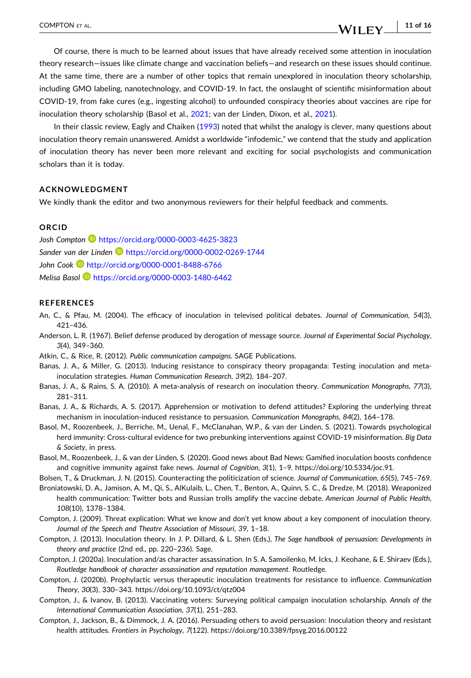#### WILEY **W**

- **11 of 16**

<span id="page-10-0"></span>Of course, there is much to be learned about issues that have already received some attention in inoculation theory research—issues like climate change and vaccination beliefs—and research on these issues should continue. At the same time, there are a number of other topics that remain unexplored in inoculation theory scholarship, including GMO labeling, nanotechnology, and COVID‐19. In fact, the onslaught of scientific misinformation about COVID‐19, from fake cures (e.g., ingesting alcohol) to unfounded conspiracy theories about vaccines are ripe for inoculation theory scholarship (Basol et al., 2021; van der Linden, Dixon, et al., [2021\)](#page-13-0).

In their classic review, Eagly and Chaiken [\(1993\)](#page-11-0) noted that whilst the analogy is clever, many questions about inoculation theory remain unanswered. Amidst a worldwide "infodemic," we contend that the study and application of inoculation theory has never been more relevant and exciting for social psychologists and communication scholars than it is today.

### **ACKNOWLEDGMENT**

We kindly thank the editor and two anonymous reviewers for their helpful feedback and comments.

### **ORCID**

*Josh Compton* <https://orcid.org/0000-0003-4625-3823> *Sander van der Linden* <https://orcid.org/0000-0002-0269-1744> John Cook **b** <http://orcid.org/0000-0001-8488-6766> *Melisa Basol* <https://orcid.org/0000-0003-1480-6462>

### **REFERENCES**

An, C., & Pfau, M. (2004). The efficacy of inoculation in televised political debates. *Journal of Communication*, *54*(3), 421–436.

- Anderson, L. R. (1967). Belief defense produced by derogation of message source. *Journal of Experimental Social Psychology*, *3*(4), 349–360.
- Atkin, C., & Rice, R. (2012). *Public communication campaigns*. SAGE Publications.
- Banas, J. A., & Miller, G. (2013). Inducing resistance to conspiracy theory propaganda: Testing inoculation and metainoculation strategies. *Human Communication Research*, *39*(2), 184–207.
- Banas, J. A., & Rains, S. A. (2010). A meta‐analysis of research on inoculation theory. *Communication Monographs*, *77*(3), 281–311.
- Banas, J. A., & Richards, A. S. (2017). Apprehension or motivation to defend attitudes? Exploring the underlying threat mechanism in inoculation‐induced resistance to persuasion. *Communication Monographs*, *84*(2), 164–178.
- Basol, M., Roozenbeek, J., Berriche, M., Uenal, F., McClanahan, W.P., & van der Linden, S. (2021). Towards psychological herd immunity: Cross‐cultural evidence for two prebunking interventions against COVID‐19 misinformation. *Big Data & Society*, in press.
- Basol, M., Roozenbeek, J., & van der Linden, S. (2020). Good news about Bad News: Gamified inoculation boosts confidence and cognitive immunity against fake news. *Journal of Cognition*, *3*(1), 1–9. <https://doi.org/10.5334/joc.91>.

Bolsen, T., & Druckman, J. N. (2015). Counteracting the politicization of science. *Journal of Communication*, *65*(5), 745–769.

- Broniatowski, D. A., Jamison, A. M., Qi, S., AlKulaib, L., Chen, T., Benton, A., Quinn, S. C., & Dredze, M. (2018). Weaponized health communication: Twitter bots and Russian trolls amplify the vaccine debate. *American Journal of Public Health*, *108*(10), 1378–1384.
- Compton, J. (2009). Threat explication: What we know and don't yet know about a key component of inoculation theory. *Journal of the Speech and Theatre Association of Missouri*, *39*, 1–18.
- Compton, J. (2013). Inoculation theory. In J. P. Dillard, & L. Shen (Eds.), *The Sage handbook of persuasion: Developments in theory and practice* (2nd ed., pp. 220–236). Sage.
- Compton, J. (2020a). Inoculation and/as character assassination. In S. A. Samoilenko, M. Icks, J. Keohane, & E. Shiraev (Eds.), *Routledge handbook of character assassination and reputation management*. Routledge.
- Compton, J. (2020b). Prophylactic versus therapeutic inoculation treatments for resistance to influence. *Communication Theory*, *30*(3), 330–343. <https://doi.org/10.1093/ct/qtz004>
- Compton, J., & Ivanov, B. (2013). Vaccinating voters: Surveying political campaign inoculation scholarship. *Annals of the International Communication Association*, *37*(1), 251–283.
- Compton, J., Jackson, B., & Dimmock, J. A. (2016). Persuading others to avoid persuasion: Inoculation theory and resistant health attitudes. *Frontiers in Psychology*, *7*(122). <https://doi.org/10.3389/fpsyg.2016.00122>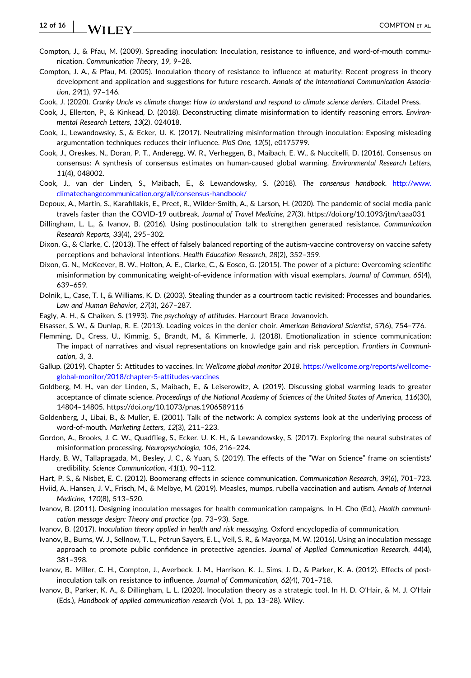#### <span id="page-11-0"></span>**12 of 16** WILEY COMPTON ET AL.

- Compton, J., & Pfau, M. (2009). Spreading inoculation: Inoculation, resistance to influence, and word‐of‐mouth communication. *Communication Theory*, *19*, 9–28.
- Compton, J. A., & Pfau, M. (2005). Inoculation theory of resistance to influence at maturity: Recent progress in theory development and application and suggestions for future research. *Annals of the International Communication Association*, *29*(1), 97–146.
- Cook, J. (2020). *Cranky Uncle vs climate change: How to understand and respond to climate science deniers*. Citadel Press.
- Cook, J., Ellerton, P., & Kinkead, D. (2018). Deconstructing climate misinformation to identify reasoning errors. *Environmental Research Letters*, *13*(2), 024018.
- Cook, J., Lewandowsky, S., & Ecker, U. K. (2017). Neutralizing misinformation through inoculation: Exposing misleading argumentation techniques reduces their influence. *PloS One*, *12*(5), e0175799.
- Cook, J., Oreskes, N., Doran, P. T., Anderegg, W. R., Verheggen, B., Maibach, E. W., & Nuccitelli, D. (2016). Consensus on consensus: A synthesis of consensus estimates on human‐caused global warming. *Environmental Research Letters*, *11*(4), 048002.
- Cook, J., van der Linden, S., Maibach, E., & Lewandowsky, S. (2018). *The consensus handbook*. [http://www.](http://www.climatechangecommunication.org/all/consensus-handbook/) [climatechangecommunication.org/all/consensus](http://www.climatechangecommunication.org/all/consensus-handbook/)‐handbook/
- Depoux, A., Martin, S., Karafillakis, E., Preet, R., Wilder‐Smith, A., & Larson, H. (2020). The pandemic of social media panic travels faster than the COVID‐19 outbreak. *Journal of Travel Medicine*, *27*(3). <https://doi.org/10.1093/jtm/taaa031>
- Dillingham, L. L., & Ivanov, B. (2016). Using postinoculation talk to strengthen generated resistance. *Communication Research Reports*, *33*(4), 295–302.
- Dixon, G., & Clarke, C. (2013). The effect of falsely balanced reporting of the autism-vaccine controversy on vaccine safety perceptions and behavioral intentions. *Health Education Research*, *28*(2), 352–359.
- Dixon, G. N., McKeever, B. W., Holton, A. E., Clarke, C., & Eosco, G. (2015). The power of a picture: Overcoming scientific misinformation by communicating weight‐of‐evidence information with visual exemplars. *Journal of Commun*, *65*(4), 639–659.
- Dolnik, L., Case, T. I., & Williams, K. D. (2003). Stealing thunder as a courtroom tactic revisited: Processes and boundaries. *Law and Human Behavior*, *27*(3), 267–287.
- Eagly, A. H., & Chaiken, S. (1993). *The psychology of attitudes*. Harcourt Brace Jovanovich.
- Elsasser, S. W., & Dunlap, R. E. (2013). Leading voices in the denier choir. *American Behavioral Scientist*, *57*(6), 754–776.
- Flemming, D., Cress, U., Kimmig, S., Brandt, M., & Kimmerle, J. (2018). Emotionalization in science communication: The impact of narratives and visual representations on knowledge gain and risk perception. *Frontiers in Communication*, *3*, 3.
- Gallup. (2019). Chapter 5: Attitudes to vaccines. In: *Wellcome global monitor 2018*. [https://wellcome.org/reports/wellcome](https://wellcome.org/reports/wellcome-global-monitor/2018/chapter-5-attitudes-vaccines)‐ global‐[monitor/2018/chapter](https://wellcome.org/reports/wellcome-global-monitor/2018/chapter-5-attitudes-vaccines)‐5‐attitudes‐vaccines
- Goldberg, M. H., van der Linden, S., Maibach, E., & Leiserowitz, A. (2019). Discussing global warming leads to greater acceptance of climate science. *Proceedings of the National Academy of Sciences of the United States of America*, *116*(30), 14804–14805. <https://doi.org/10.1073/pnas.1906589116>
- Goldenberg, J., Libai, B., & Muller, E. (2001). Talk of the network: A complex systems look at the underlying process of word‐of‐mouth. *Marketing Letters*, *12*(3), 211–223.
- Gordon, A., Brooks, J. C. W., Quadflieg, S., Ecker, U. K. H., & Lewandowsky, S. (2017). Exploring the neural substrates of misinformation processing. *Neuropsychologia*, *106*, 216–224.
- Hardy, B. W., Tallapragada, M., Besley, J. C., & Yuan, S. (2019). The effects of the "War on Science" frame on scientists' credibility. *Science Communication*, *41*(1), 90–112.
- Hart, P. S., & Nisbet, E. C. (2012). Boomerang effects in science communication. *Communication Research*, *39*(6), 701–723.
- Hviid, A., Hansen, J. V., Frisch, M., & Melbye, M. (2019). Measles, mumps, rubella vaccination and autism. *Annals of Internal Medicine*, *170*(8), 513–520.
- Ivanov, B. (2011). Designing inoculation messages for health communication campaigns. In H. Cho (Ed.), *Health communication message design: Theory and practice* (pp. 73–93). Sage.
- Ivanov, B. (2017). *Inoculation theory applied in health and risk messaging*. Oxford encyclopedia of communication.
- Ivanov, B., Burns, W. J., Sellnow, T. L., Petrun Sayers, E. L., Veil, S. R., & Mayorga, M. W. (2016). Using an inoculation message approach to promote public confidence in protective agencies. *Journal of Applied Communication Research*, *44*(4), 381–398.
- Ivanov, B., Miller, C. H., Compton, J., Averbeck, J. M., Harrison, K. J., Sims, J. D., & Parker, K. A. (2012). Effects of postinoculation talk on resistance to influence. *Journal of Communication*, *62*(4), 701–718.
- Ivanov, B., Parker, K. A., & Dillingham, L. L. (2020). Inoculation theory as a strategic tool. In H. D. O'Hair, & M. J. O'Hair (Eds.), *Handbook of applied communication research* (Vol. *1*, pp. 13–28). Wiley.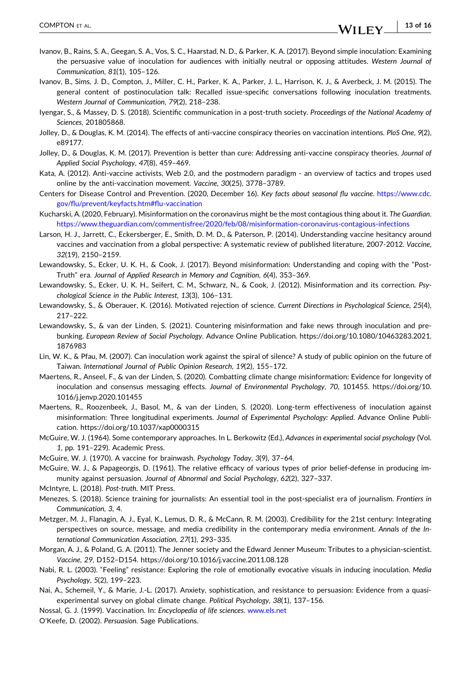- **13 of 16**

- <span id="page-12-0"></span>Ivanov, B., Rains, S. A., Geegan, S. A., Vos, S. C., Haarstad, N. D., & Parker, K. A. (2017). Beyond simple inoculation: Examining the persuasive value of inoculation for audiences with initially neutral or opposing attitudes. *Western Journal of Communication*, *81*(1), 105–126.
- Ivanov, B., Sims, J. D., Compton, J., Miller, C. H., Parker, K. A., Parker, J. L., Harrison, K. J., & Averbeck, J. M. (2015). The general content of postinoculation talk: Recalled issue‐specific conversations following inoculation treatments. *Western Journal of Communication*, *79*(2), 218–238.
- Iyengar, S., & Massey, D. S. (2018). Scientific communication in a post‐truth society. *Proceedings of the National Academy of Sciences*, 201805868.
- Jolley, D., & Douglas, K. M. (2014). The effects of anti‐vaccine conspiracy theories on vaccination intentions. *PloS One*, *9*(2), e89177.
- Jolley, D., & Douglas, K. M. (2017). Prevention is better than cure: Addressing anti‐vaccine conspiracy theories. *Journal of Applied Social Psychology*, *47*(8), 459–469.
- Kata, A. (2012). Anti‐vaccine activists, Web 2.0, and the postmodern paradigm ‐ an overview of tactics and tropes used online by the anti‐vaccination movement. *Vaccine*, *30*(25), 3778–3789.
- Centers for Disease Control and Prevention. (2020, December 16). *Key facts about seasonal flu vaccine*. [https://www.cdc.](https://www.cdc.gov/flu/prevent/keyfacts.htm#flu-vaccination) [gov/flu/prevent/keyfacts.htm#flu](https://www.cdc.gov/flu/prevent/keyfacts.htm#flu-vaccination)‐vaccination
- Kucharski, A. (2020, February). Misinformation on the coronavirus might be the most contagious thing about it. *The Guardian*. [https://www.theguardian.com/commentisfree/2020/feb/08/misinformation](https://www.theguardian.com/commentisfree/2020/feb/08/misinformation-coronavirus-contagious-infections)‐coronavirus‐contagious‐infections
- Larson, H. J., Jarrett, C., Eckersberger, E., Smith, D. M. D., & Paterson, P. (2014). Understanding vaccine hesitancy around vaccines and vaccination from a global perspective: A systematic review of published literature, 2007‐2012. *Vaccine*, *32*(19), 2150–2159.
- Lewandowsky, S., Ecker, U. K. H., & Cook, J. (2017). Beyond misinformation: Understanding and coping with the "Post‐ Truth" era. *Journal of Applied Research in Memory and Cognition*, *6*(4), 353–369.
- Lewandowsky, S., Ecker, U. K. H., Seifert, C. M., Schwarz, N., & Cook, J. (2012). Misinformation and its correction. *Psychological Science in the Public Interest*, *13*(3), 106–131.
- Lewandowsky, S., & Oberauer, K. (2016). Motivated rejection of science. *Current Directions in Psychological Science*, *25*(4), 217–222.
- Lewandowsky, S., & van der Linden, S. (2021). Countering misinformation and fake news through inoculation and prebunking. *European Review of Social Psychology*. Advance Online Publication. [https://doi.org/10.1080/10463283.2021.](https://doi.org/10.1080/10463283.2021.1876983) [1876983](https://doi.org/10.1080/10463283.2021.1876983)
- Lin, W. K., & Pfau, M. (2007). Can inoculation work against the spiral of silence? A study of public opinion on the future of Taiwan. *International Journal of Public Opinion Research*, *19*(2), 155–172.
- Maertens, R., Anseel, F., & van der Linden, S. (2020). Combatting climate change misinformation: Evidence for longevity of inoculation and consensus messaging effects. *Journal of Environmental Psychology*, *70*, 101455. [https://doi.org/10.](https://doi.org/10.1016/j.jenvp.2020.101455) [1016/j.jenvp.2020.101455](https://doi.org/10.1016/j.jenvp.2020.101455)
- Maertens, R., Roozenbeek, J., Basol, M., & van der Linden, S. (2020). Long‐term effectiveness of inoculation against misinformation: Three longitudinal experiments. *Journal of Experimental Psychology: Applied*. Advance Online Publication. <https://doi.org/10.1037/xap0000315>
- McGuire, W. J. (1964). Some contemporary approaches. In L. Berkowitz (Ed.), *Advances in experimental social psychology* (Vol. *1*, pp. 191–229). Academic Press.
- McGuire, W. J. (1970). A vaccine for brainwash. *Psychology Today*, *3*(9), 37–64.
- McGuire, W. J., & Papageorgis, D. (1961). The relative efficacy of various types of prior belief‐defense in producing immunity against persuasion. *Journal of Abnormal and Social Psychology*, *62*(2), 327–337.
- McIntyre, L. (2018). *Post‐truth*. MIT Press.
- Menezes, S. (2018). Science training for journalists: An essential tool in the post‐specialist era of journalism. *Frontiers in Communication*, *3*, 4.
- Metzger, M. J., Flanagin, A. J., Eyal, K., Lemus, D. R., & McCann, R. M. (2003). Credibility for the 21st century: Integrating perspectives on source, message, and media credibility in the contemporary media environment. *Annals of the International Communication Association*, *27*(1), 293–335.
- Morgan, A. J., & Poland, G. A. (2011). The Jenner society and the Edward Jenner Museum: Tributes to a physician‐scientist. *Vaccine*, *29*, D152–D154. <https://doi.org/10.1016/j.vaccine.2011.08.128>
- Nabi, R. L. (2003). "Feeling" resistance: Exploring the role of emotionally evocative visuals in inducing inoculation. *Media Psychology*, *5*(2), 199–223.
- Nai, A., Schemeil, Y., & Marie, J.-L. (2017). Anxiety, sophistication, and resistance to persuasion: Evidence from a quasiexperimental survey on global climate change. *Political Psychology*, *38*(1), 137–156.
- Nossal, G. J. (1999). Vaccination. In: *Encyclopedia of life sciences*. [www.els.net](https://www.els.net)

O'Keefe, D. (2002). *Persuasion*. Sage Publications.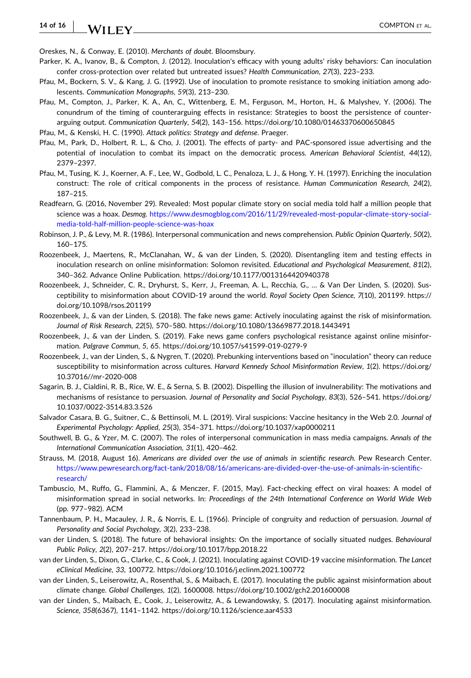#### <span id="page-13-0"></span>**14 of 16 WILEY** COMPTON ET AL.

Oreskes, N., & Conway, E. (2010). *Merchants of doubt*. Bloomsbury.

- Parker, K. A., Ivanov, B., & Compton, J. (2012). Inoculation's efficacy with young adults' risky behaviors: Can inoculation confer cross‐protection over related but untreated issues? *Health Communication*, *27*(3), 223–233.
- Pfau, M., Bockern, S. V., & Kang, J. G. (1992). Use of inoculation to promote resistance to smoking initiation among adolescents. *Communication Monographs*, *59*(3), 213–230.
- Pfau, M., Compton, J., Parker, K. A., An, C., Wittenberg, E. M., Ferguson, M., Horton, H., & Malyshev, Y. (2006). The conundrum of the timing of counterarguing effects in resistance: Strategies to boost the persistence of counterarguing output. *Communication Quarterly*, *54*(2), 143–156. <https://doi.org/10.1080/01463370600650845>
- Pfau, M., & Kenski, H. C. (1990). *Attack politics: Strategy and defense*. Praeger.
- Pfau, M., Park, D., Holbert, R. L., & Cho, J. (2001). The effects of party‐ and PAC‐sponsored issue advertising and the potential of inoculation to combat its impact on the democratic process. *American Behavioral Scientist*, *44*(12), 2379–2397.
- Pfau, M., Tusing, K. J., Koerner, A. F., Lee, W., Godbold, L. C., Penaloza, L. J., & Hong, Y. H. (1997). Enriching the inoculation construct: The role of critical components in the process of resistance. *Human Communication Research*, *24*(2), 187–215.
- Readfearn, G. (2016, November 29). Revealed: Most popular climate story on social media told half a million people that science was a hoax. *Desmog.* [https://www.desmogblog.com/2016/11/29/revealed](https://www.desmogblog.com/2016/11/29/revealed-most-popular-climate-story-social-media-told-half-million-people-science-was-hoax)-most-popular-climate-story-socialmedia‐told‐half‐million‐people‐[science](https://www.desmogblog.com/2016/11/29/revealed-most-popular-climate-story-social-media-told-half-million-people-science-was-hoax)‐was‐hoax
- Robinson, J. P., & Levy, M. R. (1986). Interpersonal communication and news comprehension. *Public Opinion Quarterly*, *50*(2), 160–175.
- Roozenbeek, J., Maertens, R., McClanahan, W., & van der Linden, S. (2020). Disentangling item and testing effects in inoculation research on online misinformation: Solomon revisited. *Educational and Psychological Measurement*, *81*(2), 340–362. Advance Online Publication. <https://doi.org/10.1177/0013164420940378>
- Roozenbeek, J., Schneider, C. R., Dryhurst, S., Kerr, J., Freeman, A. L., Recchia, G., … & Van Der Linden, S. (2020). Susceptibility to misinformation about COVID‐19 around the world. *Royal Society Open Science*, *7*(10), 201199. [https://](https://doi.org/10.1098/rsos.201199) [doi.org/10.1098/rsos.201199](https://doi.org/10.1098/rsos.201199)
- Roozenbeek, J., & van der Linden, S. (2018). The fake news game: Actively inoculating against the risk of misinformation. *Journal of Risk Research*, *22*(5), 570–580. <https://doi.org/10.1080/13669877.2018.1443491>
- Roozenbeek, J., & van der Linden, S. (2019). Fake news game confers psychological resistance against online misinformation. *Palgrave Commun*, *5*, 65. [https://doi.org/10.1057/s41599](https://doi.org/10.1057/s41599-019-0279-9)‐019‐0279‐9
- Roozenbeek, J., van der Linden, S., & Nygren, T. (2020). Prebunking interventions based on "inoculation" theory can reduce susceptibility to misinformation across cultures. *Harvard Kennedy School Misinformation Review*, *1*(2). [https://doi.org/](https://doi.org/10.37016//mr-2020-008) [10.37016//mr](https://doi.org/10.37016//mr-2020-008)‐2020‐008
- Sagarin, B. J., Cialdini, R. B., Rice, W. E., & Serna, S. B. (2002). Dispelling the illusion of invulnerability: The motivations and mechanisms of resistance to persuasion. *Journal of Personality and Social Psychology*, *83*(3), 526–541. [https://doi.org/](https://doi.org/10.1037/0022-3514.83.3.526) 10.1037/0022‐[3514.83.3.526](https://doi.org/10.1037/0022-3514.83.3.526)
- Salvador Casara, B. G., Suitner, C., & Bettinsoli, M. L. (2019). Viral suspicions: Vaccine hesitancy in the Web 2.0. *Journal of Experimental Psychology: Applied*, *25*(3), 354–371. <https://doi.org/10.1037/xap0000211>
- Southwell, B. G., & Yzer, M. C. (2007). The roles of interpersonal communication in mass media campaigns. *Annals of the International Communication Association*, *31*(1), 420–462.
- Strauss, M. (2018, August 16). *Americans are divided over the use of animals in scientific research*. Pew Research Center. [https://www.pewresearch.org/fact](https://www.pewresearch.org/fact-tank/2018/08/16/americans-are-divided-over-the-use-of-animals-in-scientific-research/)‐tank/2018/08/16/americans‐are‐divided‐over‐the‐use‐of‐animals‐in‐scientific‐ [research/](https://www.pewresearch.org/fact-tank/2018/08/16/americans-are-divided-over-the-use-of-animals-in-scientific-research/)
- Tambuscio, M., Ruffo, G., Flammini, A., & Menczer, F. (2015, May). Fact‐checking effect on viral hoaxes: A model of misinformation spread in social networks. In: *Proceedings of the 24th International Conference on World Wide Web* (pp. 977–982). ACM
- Tannenbaum, P. H., Macauley, J. R., & Norris, E. L. (1966). Principle of congruity and reduction of persuasion. *Journal of Personality and Social Psychology*, *3*(2), 233–238.
- van der Linden, S. (2018). The future of behavioral insights: On the importance of socially situated nudges. *Behavioural Public Policy*, *2*(2), 207–217. <https://doi.org/10.1017/bpp.2018.22>
- van der Linden, S., Dixon, G., Clarke, C., & Cook, J. (2021). Inoculating against COVID‐19 vaccine misinformation. *The Lancet eClinical Medicine*, *33*, 100772. <https://doi.org/10.1016/j.eclinm.2021.100772>
- van der Linden, S., Leiserowitz, A., Rosenthal, S., & Maibach, E. (2017). Inoculating the public against misinformation about climate change. *Global Challenges*, *1*(2), 1600008. <https://doi.org/10.1002/gch2.201600008>
- van der Linden, S., Maibach, E., Cook, J., Leiserowitz, A., & Lewandowsky, S. (2017). Inoculating against misinformation. *Science*, *358*(6367), 1141–1142. <https://doi.org/10.1126/science.aar4533>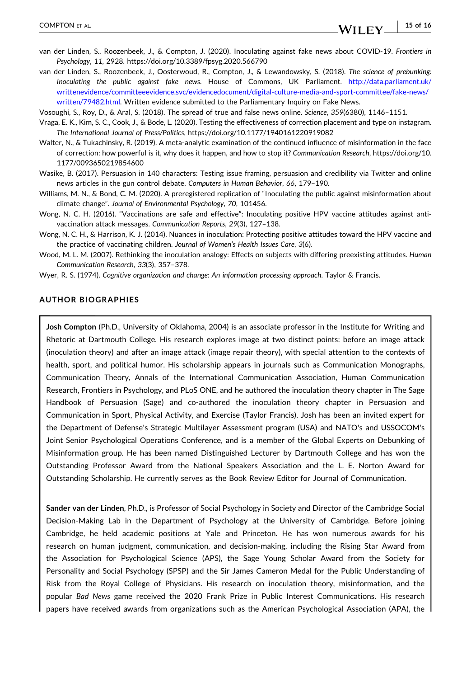- **15 of 16**

- <span id="page-14-0"></span>van der Linden, S., Roozenbeek, J., & Compton, J. (2020). Inoculating against fake news about COVID‐19. *Frontiers in Psychology*, *11*, 2928. <https://doi.org/10.3389/fpsyg.2020.566790>
- van der Linden, S., Roozenbeek, J., Oosterwoud, R., Compton, J., & Lewandowsky, S. (2018). *The science of prebunking: Inoculating the public against fake news*. House of Commons, UK Parliament. [http://data.parliament.uk/](http://data.parliament.uk/writtenevidence/committeeevidence.svc/evidencedocument/digital-culture-media-and-sport-committee/fake-news/written/79482.html) [writtenevidence/committeeevidence.svc/evidencedocument/digital](http://data.parliament.uk/writtenevidence/committeeevidence.svc/evidencedocument/digital-culture-media-and-sport-committee/fake-news/written/79482.html)‐culture‐media‐and‐sport‐committee/fake‐news/ [written/79482.html.](http://data.parliament.uk/writtenevidence/committeeevidence.svc/evidencedocument/digital-culture-media-and-sport-committee/fake-news/written/79482.html) Written evidence submitted to the Parliamentary Inquiry on Fake News.

Vosoughi, S., Roy, D., & Aral, S. (2018). The spread of true and false news online. *Science*, *359*(6380), 1146–1151.

Vraga, E. K., Kim, S. C., Cook, J., & Bode, L. (2020). Testing the effectiveness of correction placement and type on instagram. *The International Journal of Press/Politics*, <https://doi.org/10.1177/1940161220919082>

- Walter, N., & Tukachinsky, R. (2019). A meta-analytic examination of the continued influence of misinformation in the face of correction: how powerful is it, why does it happen, and how to stop it? *Communication Research*, [https://doi.org/10.](https://doi.org/10.1177/0093650219854600) [1177/0093650219854600](https://doi.org/10.1177/0093650219854600)
- Wasike, B. (2017). Persuasion in 140 characters: Testing issue framing, persuasion and credibility via Twitter and online news articles in the gun control debate. *Computers in Human Behavior*, *66*, 179–190.
- Williams, M. N., & Bond, C. M. (2020). A preregistered replication of "Inoculating the public against misinformation about climate change". *Journal of Environmental Psychology*, *70*, 101456.
- Wong, N. C. H. (2016). "Vaccinations are safe and effective": Inoculating positive HPV vaccine attitudes against antivaccination attack messages. *Communication Reports*, *29*(3), 127–138.
- Wong, N. C. H., & Harrison, K. J. (2014). Nuances in inoculation: Protecting positive attitudes toward the HPV vaccine and the practice of vaccinating children. *Journal of Women's Health Issues Care*, *3*(6).
- Wood, M. L. M. (2007). Rethinking the inoculation analogy: Effects on subjects with differing preexisting attitudes. *Human Communication Research*, *33*(3), 357–378.
- Wyer, R. S. (1974). *Cognitive organization and change: An information processing approach*. Taylor & Francis.

#### **AUTHOR BIOGRAPHIES**

**Josh Compton** (Ph.D., University of Oklahoma, 2004) is an associate professor in the Institute for Writing and Rhetoric at Dartmouth College. His research explores image at two distinct points: before an image attack (inoculation theory) and after an image attack (image repair theory), with special attention to the contexts of health, sport, and political humor. His scholarship appears in journals such as Communication Monographs, Communication Theory, Annals of the International Communication Association, Human Communication Research, Frontiers in Psychology, and PLoS ONE, and he authored the inoculation theory chapter in The Sage Handbook of Persuasion (Sage) and co-authored the inoculation theory chapter in Persuasion and Communication in Sport, Physical Activity, and Exercise (Taylor Francis). Josh has been an invited expert for the Department of Defense's Strategic Multilayer Assessment program (USA) and NATO's and USSOCOM's Joint Senior Psychological Operations Conference, and is a member of the Global Experts on Debunking of Misinformation group. He has been named Distinguished Lecturer by Dartmouth College and has won the Outstanding Professor Award from the National Speakers Association and the L. E. Norton Award for Outstanding Scholarship. He currently serves as the Book Review Editor for Journal of Communication.

**Sander van der Linden**, Ph.D., is Professor of Social Psychology in Society and Director of the Cambridge Social Decision‐Making Lab in the Department of Psychology at the University of Cambridge. Before joining Cambridge, he held academic positions at Yale and Princeton. He has won numerous awards for his research on human judgment, communication, and decision‐making, including the Rising Star Award from the Association for Psychological Science (APS), the Sage Young Scholar Award from the Society for Personality and Social Psychology (SPSP) and the Sir James Cameron Medal for the Public Understanding of Risk from the Royal College of Physicians. His research on inoculation theory, misinformation, and the popular *Bad News* game received the 2020 Frank Prize in Public Interest Communications. His research papers have received awards from organizations such as the American Psychological Association (APA), the